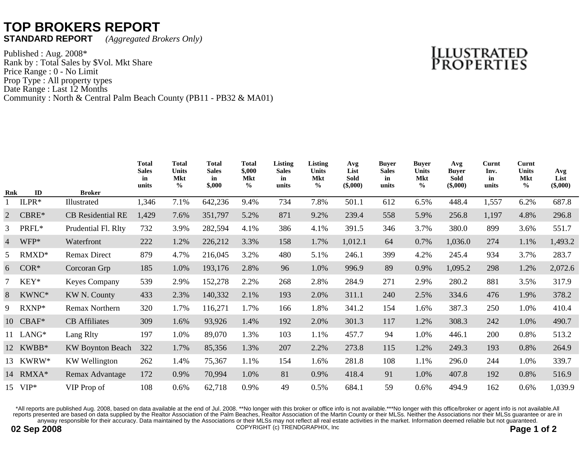## **TOP BROKERS REPORT**<br>STANDARD REPORT (Aggregated Br

**STANDARD REPORT** *(Aggregated Brokers Only)*

Published : Aug. 2008\* Rank by : Total Sales by \$Vol. Mkt Share Price Range : 0 - No Limit Prop Type : All property types Date Range : Last 12 Months Community : North & Central Palm Beach County (PB11 - PB32 & MA01)

## Illustrated<br>Properties

|                |          |                          | <b>Total</b><br><b>Sales</b><br>in<br>units | <b>Total</b><br><b>Units</b><br>Mkt<br>$\frac{6}{9}$ | <b>Total</b><br><b>Sales</b><br>in<br>\$,000 | <b>Total</b><br>\$,000<br><b>Mkt</b><br>$\frac{0}{0}$ | Listing<br><b>Sales</b><br>in<br>units | <b>Listing</b><br><b>Units</b><br><b>Mkt</b><br>$\frac{6}{9}$ | Avg<br>List<br>Sold<br>$(\$,000)$ | <b>Buver</b><br><b>Sales</b><br>in<br>units | <b>Buyer</b><br><b>Units</b><br><b>Mkt</b><br>$\frac{0}{0}$ | Avg<br><b>Buver</b><br><b>Sold</b><br>$(\$,000)$ | Curnt<br>Inv.<br>in<br>units | Curnt<br><b>Units</b><br><b>Mkt</b><br>$\frac{6}{6}$ | Avg<br>List<br>$(\$,000)$ |
|----------------|----------|--------------------------|---------------------------------------------|------------------------------------------------------|----------------------------------------------|-------------------------------------------------------|----------------------------------------|---------------------------------------------------------------|-----------------------------------|---------------------------------------------|-------------------------------------------------------------|--------------------------------------------------|------------------------------|------------------------------------------------------|---------------------------|
| <b>Rnk</b>     | ID       | <b>Broker</b>            |                                             |                                                      |                                              |                                                       |                                        |                                                               |                                   |                                             |                                                             |                                                  |                              |                                                      |                           |
|                | $ILPR*$  | Illustrated              | 1,346                                       | 7.1%                                                 | 642,236                                      | 9.4%                                                  | 734                                    | 7.8%                                                          | 501.1                             | 612                                         | 6.5%                                                        | 448.4                                            | 1,557                        | 6.2%                                                 | 687.8                     |
| $\overline{2}$ | $CBRE*$  | <b>CB</b> Residential RE | 1,429                                       | 7.6%                                                 | 351,797                                      | 5.2%                                                  | 871                                    | 9.2%                                                          | 239.4                             | 558                                         | 5.9%                                                        | 256.8                                            | 1,197                        | 4.8%                                                 | 296.8                     |
|                | 3 PRFL*  | Prudential Fl. Rlty      | 732                                         | 3.9%                                                 | 282,594                                      | 4.1%                                                  | 386                                    | 4.1%                                                          | 391.5                             | 346                                         | 3.7%                                                        | 380.0                                            | 899                          | 3.6%                                                 | 551.7                     |
|                | 4 WFP*   | Waterfront               | 222                                         | 1.2%                                                 | 226,212                                      | 3.3%                                                  | 158                                    | 1.7%                                                          | 1,012.1                           | 64                                          | 0.7%                                                        | 1,036.0                                          | 274                          | 1.1%                                                 | 1,493.2                   |
| 5              | $RMXD*$  | <b>Remax Direct</b>      | 879                                         | 4.7%                                                 | 216,045                                      | 3.2%                                                  | 480                                    | 5.1%                                                          | 246.1                             | 399                                         | 4.2%                                                        | 245.4                                            | 934                          | 3.7%                                                 | 283.7                     |
| 6              | $COR^*$  | Corcoran Grp             | 185                                         | 1.0%                                                 | 193,176                                      | 2.8%                                                  | 96                                     | 1.0%                                                          | 996.9                             | 89                                          | 0.9%                                                        | 1,095.2                                          | 298                          | 1.2%                                                 | 2,072.6                   |
|                | $KEY*$   | Keyes Company            | 539                                         | 2.9%                                                 | 152,278                                      | 2.2%                                                  | 268                                    | 2.8%                                                          | 284.9                             | 271                                         | 2.9%                                                        | 280.2                                            | 881                          | 3.5%                                                 | 317.9                     |
| 8              | KWNC*    | <b>KW N. County</b>      | 433                                         | 2.3%                                                 | 140,332                                      | 2.1%                                                  | 193                                    | 2.0%                                                          | 311.1                             | 240                                         | 2.5%                                                        | 334.6                                            | 476                          | 1.9%                                                 | 378.2                     |
| 9              | $RXNP*$  | Remax Northern           | 320                                         | 1.7%                                                 | 116,271                                      | 1.7%                                                  | 166                                    | 1.8%                                                          | 341.2                             | 154                                         | 1.6%                                                        | 387.3                                            | 250                          | 1.0%                                                 | 410.4                     |
|                | 10 CBAF* | <b>CB</b> Affiliates     | 309                                         | 1.6%                                                 | 93,926                                       | 1.4%                                                  | 192                                    | 2.0%                                                          | 301.3                             | 117                                         | 1.2%                                                        | 308.3                                            | 242                          | 1.0%                                                 | 490.7                     |
|                | 11 LANG* | Lang Rlty                | 197                                         | 1.0%                                                 | 89,070                                       | 1.3%                                                  | 103                                    | 1.1%                                                          | 457.7                             | 94                                          | 1.0%                                                        | 446.1                                            | 200                          | 0.8%                                                 | 513.2                     |
|                | 12 KWBB* | <b>KW Boynton Beach</b>  | 322                                         | 1.7%                                                 | 85,356                                       | 1.3%                                                  | 207                                    | 2.2%                                                          | 273.8                             | 115                                         | 1.2%                                                        | 249.3                                            | 193                          | 0.8%                                                 | 264.9                     |
|                | 13 KWRW* | <b>KW</b> Wellington     | 262                                         | 1.4%                                                 | 75,367                                       | 1.1%                                                  | 154                                    | 1.6%                                                          | 281.8                             | 108                                         | 1.1%                                                        | 296.0                                            | 244                          | 1.0%                                                 | 339.7                     |
|                | 14 RMXA* | Remax Advantage          | 172                                         | 0.9%                                                 | 70,994                                       | 1.0%                                                  | 81                                     | 0.9%                                                          | 418.4                             | 91                                          | 1.0%                                                        | 407.8                                            | 192                          | 0.8%                                                 | 516.9                     |
|                | 15 VIP*  | VIP Prop of              | 108                                         | 0.6%                                                 | 62,718                                       | 0.9%                                                  | 49                                     | 0.5%                                                          | 684.1                             | 59                                          | 0.6%                                                        | 494.9                                            | 162                          | 0.6%                                                 | 1,039.9                   |

\*All reports are published Aug. 2008, based on data available at the end of Jul. 2008. \*\*No longer with this broker or office info is not available.\*\*\*No longer with this office/broker or agent info is not available.All reports presented are based on data supplied by the Realtor Association of the Palm Beaches, Realtor Association of the Martin County or their MLSs. Neither the Associations nor their MLSs guarantee or are in anyway responsible for their accuracy. Data maintained by the Associations or their MLSs may not reflect all real estate activities in the market. Information deemed reliable but not guaranteed.

**02 Sep 2008** Page 1 of 2